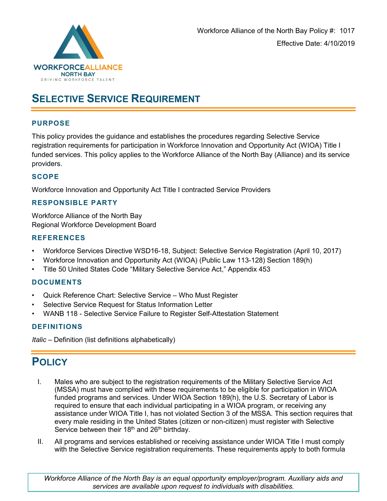

# **SELECTIVE SERVICE REQUIREMENT**

## **PURPOSE**

This policy provides the guidance and establishes the procedures regarding Selective Service registration requirements for participation in Workforce Innovation and Opportunity Act (WIOA) Title I funded services. This policy applies to the Workforce Alliance of the North Bay (Alliance) and its service providers.

## **SCOPE**

Workforce Innovation and Opportunity Act Title I contracted Service Providers

# **RESPONSIBLE PARTY**

Workforce Alliance of the North Bay Regional Workforce Development Board

#### **REFERENCES**

- Workforce Services Directive WSD16-18, Subject: Selective Service Registration (April 10, 2017)
- Workforce Innovation and Opportunity Act (WIOA) (Public Law 113-128) Section 189(h)
- Title 50 United States Code "Military Selective Service Act," Appendix 453

#### **DOCUMENTS**

- Quick Reference Chart: Selective Service Who Must Register
- Selective Service Request for Status Information Letter
- WANB 118 Selective Service Failure to Register Self-Attestation Statement

#### **DEFINITIONS**

*Italic –* Definition (list definitions alphabetically)

# **POLICY**

- I. Males who are subject to the registration requirements of the Military Selective Service Act (MSSA) must have complied with these requirements to be eligible for participation in WIOA funded programs and services. Under WIOA Section 189(h), the U.S. Secretary of Labor is required to ensure that each individual participating in a WIOA program, or receiving any assistance under WIOA Title I, has not violated Section 3 of the MSSA. This section requires that every male residing in the United States (citizen or non-citizen) must register with Selective Service between their 18<sup>th</sup> and 26<sup>th</sup> birthday.
- II. All programs and services established or receiving assistance under WIOA Title I must comply with the Selective Service registration requirements. These requirements apply to both formula

*Workforce Alliance of the North Bay is an equal opportunity employer/program. Auxiliary aids and services are available upon request to individuals with disabilities.*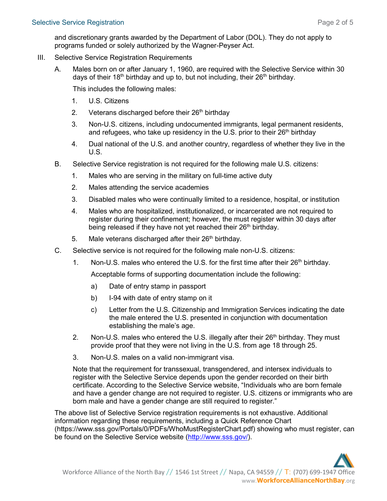and discretionary grants awarded by the Department of Labor (DOL). They do not apply to programs funded or solely authorized by the Wagner-Peyser Act.

- III. Selective Service Registration Requirements
	- A. Males born on or after January 1, 1960, are required with the Selective Service within 30 days of their 18<sup>th</sup> birthday and up to, but not including, their  $26<sup>th</sup>$  birthday.

This includes the following males:

- 1. U.S. Citizens
- 2. Veterans discharged before their  $26<sup>th</sup>$  birthday
- 3. Non-U.S. citizens, including undocumented immigrants, legal permanent residents, and refugees, who take up residency in the U.S. prior to their  $26<sup>th</sup>$  birthday
- 4. Dual national of the U.S. and another country, regardless of whether they live in the U.S.
- B. Selective Service registration is not required for the following male U.S. citizens:
	- 1. Males who are serving in the military on full-time active duty
	- 2. Males attending the service academies
	- 3. Disabled males who were continually limited to a residence, hospital, or institution
	- 4. Males who are hospitalized, institutionalized, or incarcerated are not required to register during their confinement; however, the must register within 30 days after being released if they have not yet reached their 26<sup>th</sup> birthday.
	- 5. Male veterans discharged after their  $26<sup>th</sup>$  birthday.
- C. Selective service is not required for the following male non-U.S. citizens:
	- 1. Non-U.S. males who entered the U.S. for the first time after their  $26<sup>th</sup>$  birthday.

Acceptable forms of supporting documentation include the following:

- a) Date of entry stamp in passport
- b) I-94 with date of entry stamp on it
- c) Letter from the U.S. Citizenship and Immigration Services indicating the date the male entered the U.S. presented in conjunction with documentation establishing the male's age.
- 2. Non-U.S. males who entered the U.S. illegally after their 26<sup>th</sup> birthday. They must provide proof that they were not living in the U.S. from age 18 through 25.
- 3. Non-U.S. males on a valid non-immigrant visa.

Note that the requirement for transsexual, transgendered, and intersex individuals to register with the Selective Service depends upon the gender recorded on their birth certificate. According to the Selective Service website, "Individuals who are born female and have a gender change are not required to register. U.S. citizens or immigrants who are born male and have a gender change are still required to register."

The above list of Selective Service registration requirements is not exhaustive. Additional information regarding these requirements, including a Quick Reference Chart (https://www.sss.gov/Portals/0/PDFs/WhoMustRegisterChart.pdf) showing who must register, can be found on the Selective Service website [\(http://www.sss.gov/\)](http://www.sss.gov/).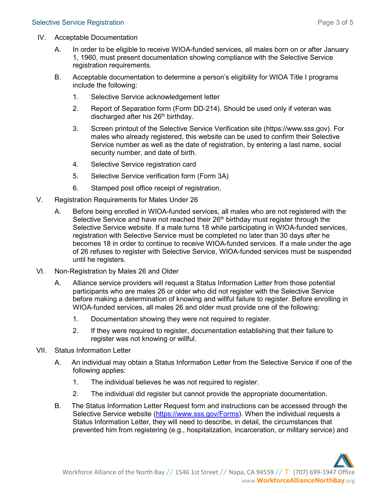- IV. Acceptable Documentation
	- A. In order to be eligible to receive WIOA-funded services, all males born on or after January 1, 1960, must present documentation showing compliance with the Selective Service registration requirements.
	- B. Acceptable documentation to determine a person's eligibility for WIOA Title I programs include the following:
		- 1. Selective Service acknowledgement letter
		- 2. Report of Separation form (Form DD-214). Should be used only if veteran was discharged after his 26<sup>th</sup> birthday.
		- 3. Screen printout of the Selective Service Verification site (https://www.sss.gov). For males who already registered, this website can be used to confirm their Selective Service number as well as the date of registration, by entering a last name, social security number, and date of birth.
		- 4. Selective Service registration card
		- 5. Selective Service verification form (Form 3A)
		- 6. Stamped post office receipt of registration.
- V. Registration Requirements for Males Under 26
	- A. Before being enrolled in WIOA-funded services, all males who are not registered with the Selective Service and have not reached their 26<sup>th</sup> birthday must register through the Selective Service website. If a male turns 18 while participating in WIOA-funded services, registration with Selective Service must be completed no later than 30 days after he becomes 18 in order to continue to receive WIOA-funded services. If a male under the age of 26 refuses to register with Selective Service, WIOA-funded services must be suspended until he registers.
- VI. Non-Registration by Males 26 and Older
	- A. Alliance service providers will request a Status Information Letter from those potential participants who are males 26 or older who did not register with the Selective Service before making a determination of knowing and willful failure to register. Before enrolling in WIOA-funded services, all males 26 and older must provide one of the following:
		- 1. Documentation showing they were not required to register.
		- 2. If they were required to register, documentation establishing that their failure to register was not knowing or willful.
- VII. Status Information Letter
	- A. An individual may obtain a Status Information Letter from the Selective Service if one of the following applies:
		- 1. The individual believes he was not required to register.
		- 2. The individual did register but cannot provide the appropriate documentation.
	- B. The Status Information Letter Request form and instructions can be accessed through the Selective Service website [\(https://www.sss.gov/Forms\)](https://www.sss.gov/Forms). When the individual requests a Status Information Letter, they will need to describe, in detail, the circumstances that prevented him from registering (e.g., hospitalization, incarceration, or military service) and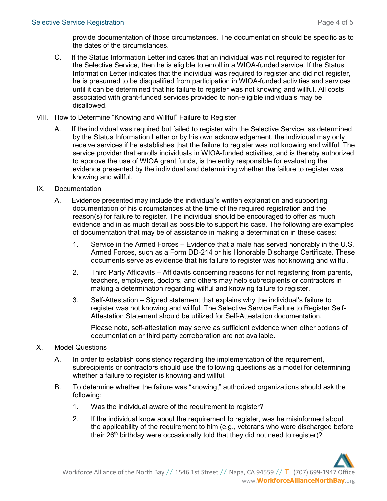provide documentation of those circumstances. The documentation should be specific as to the dates of the circumstances.

- C. If the Status Information Letter indicates that an individual was not required to register for the Selective Service, then he is eligible to enroll in a WIOA-funded service. If the Status Information Letter indicates that the individual was required to register and did not register, he is presumed to be disqualified from participation in WIOA-funded activities and services until it can be determined that his failure to register was not knowing and willful. All costs associated with grant-funded services provided to non-eligible individuals may be disallowed.
- VIII. How to Determine "Knowing and Willful" Failure to Register
	- A. If the individual was required but failed to register with the Selective Service, as determined by the Status Information Letter or by his own acknowledgement, the individual may only receive services if he establishes that the failure to register was not knowing and willful. The service provider that enrolls individuals in WIOA-funded activities, and is thereby authorized to approve the use of WIOA grant funds, is the entity responsible for evaluating the evidence presented by the individual and determining whether the failure to register was knowing and willful.

#### IX. Documentation

- A. Evidence presented may include the individual's written explanation and supporting documentation of his circumstances at the time of the required registration and the reason(s) for failure to register. The individual should be encouraged to offer as much evidence and in as much detail as possible to support his case. The following are examples of documentation that may be of assistance in making a determination in these cases:
	- 1. Service in the Armed Forces Evidence that a male has served honorably in the U.S. Armed Forces, such as a Form DD-214 or his Honorable Discharge Certificate. These documents serve as evidence that his failure to register was not knowing and willful.
	- 2. Third Party Affidavits Affidavits concerning reasons for not registering from parents, teachers, employers, doctors, and others may help subrecipients or contractors in making a determination regarding willful and knowing failure to register.
	- 3. Self-Attestation Signed statement that explains why the individual's failure to register was not knowing and willful. The Selective Service Failure to Register Self-Attestation Statement should be utilized for Self-Attestation documentation.

Please note, self-attestation may serve as sufficient evidence when other options of documentation or third party corroboration are not available.

- X. Model Questions
	- A. In order to establish consistency regarding the implementation of the requirement, subrecipients or contractors should use the following questions as a model for determining whether a failure to register is knowing and willful.
	- B. To determine whether the failure was "knowing," authorized organizations should ask the following:
		- 1. Was the individual aware of the requirement to register?
		- 2. If the individual know about the requirement to register, was he misinformed about the applicability of the requirement to him (e.g., veterans who were discharged before their 26<sup>th</sup> birthday were occasionally told that they did not need to register)?